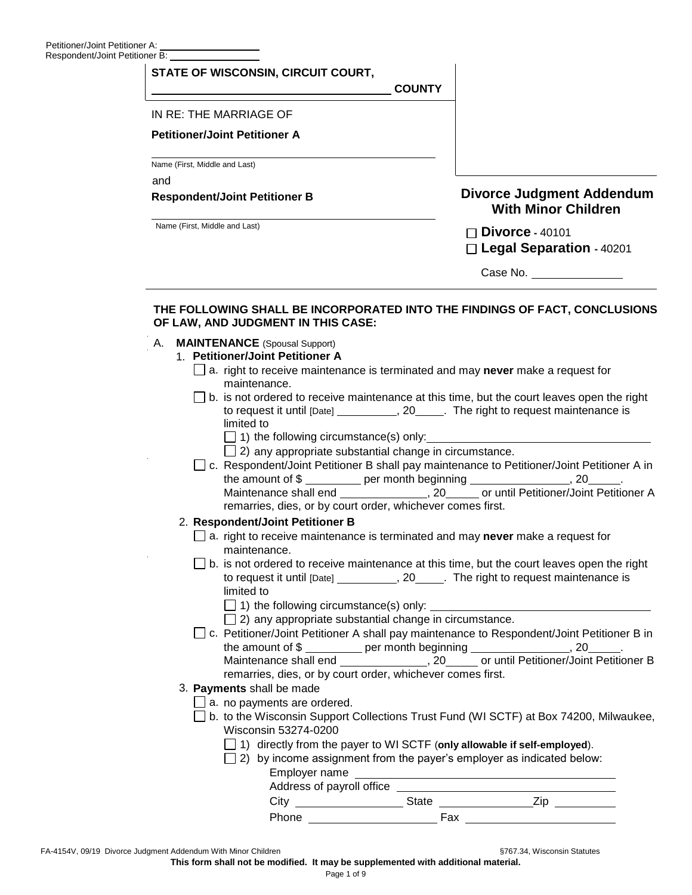| ner A: ______________________<br>tioner B: ____________________                                                                                                                                                                                            |                                                                |
|------------------------------------------------------------------------------------------------------------------------------------------------------------------------------------------------------------------------------------------------------------|----------------------------------------------------------------|
| STATE OF WISCONSIN, CIRCUIT COURT,<br><b>COUNTY</b>                                                                                                                                                                                                        |                                                                |
| IN RE: THE MARRIAGE OF                                                                                                                                                                                                                                     |                                                                |
| <b>Petitioner/Joint Petitioner A</b>                                                                                                                                                                                                                       |                                                                |
| Name (First, Middle and Last)                                                                                                                                                                                                                              |                                                                |
| and<br><b>Respondent/Joint Petitioner B</b>                                                                                                                                                                                                                | <b>Divorce Judgment Addendum</b><br><b>With Minor Children</b> |
| Name (First, Middle and Last)                                                                                                                                                                                                                              | $\Box$ Divorce - 40101<br>□ Legal Separation - 40201           |
|                                                                                                                                                                                                                                                            | Case No. 2008                                                  |
| OF LAW, AND JUDGMENT IN THIS CASE:<br><b>MAINTENANCE</b> (Spousal Support)<br>А.<br>1. Petitioner/Joint Petitioner A                                                                                                                                       |                                                                |
| $\Box$ a. right to receive maintenance is terminated and may <b>never</b> make a request for                                                                                                                                                               |                                                                |
| maintenance.<br>b. is not ordered to receive maintenance at this time, but the court leaves open the right<br>to request it until [Date] ____________, 20______. The right to request maintenance is<br>limited to                                         |                                                                |
| $\Box$ 1) the following circumstance(s) only:<br>$\Box$ 2) any appropriate substantial change in circumstance.                                                                                                                                             |                                                                |
| □ c. Respondent/Joint Petitioner B shall pay maintenance to Petitioner/Joint Petitioner A in<br>the amount of \$                                                                                                                                           |                                                                |
| remarries, dies, or by court order, whichever comes first.                                                                                                                                                                                                 |                                                                |
| 2. Respondent/Joint Petitioner B                                                                                                                                                                                                                           |                                                                |
| $\Box$ a. right to receive maintenance is terminated and may never make a request for<br>maintenance.                                                                                                                                                      |                                                                |
| b. is not ordered to receive maintenance at this time, but the court leaves open the right<br>to request it until [Date] _______________, 20_______. The right to request maintenance is<br>limited to<br>1) the following circumstance(s) only: _________ |                                                                |
| $\Box$ 2) any appropriate substantial change in circumstance.                                                                                                                                                                                              |                                                                |
| □ c. Petitioner/Joint Petitioner A shall pay maintenance to Respondent/Joint Petitioner B in<br>the amount of \$ ___________ per month beginning ___________________, 20______.                                                                            |                                                                |
| remarries, dies, or by court order, whichever comes first.<br>3. Payments shall be made                                                                                                                                                                    |                                                                |
| $\Box$ a. no payments are ordered.                                                                                                                                                                                                                         |                                                                |
| b. to the Wisconsin Support Collections Trust Fund (WI SCTF) at Box 74200, Milwaukee,<br>Wisconsin 53274-0200                                                                                                                                              |                                                                |
| 1) directly from the payer to WI SCTF (only allowable if self-employed).<br>2) by income assignment from the payer's employer as indicated below:                                                                                                          |                                                                |

| Employer name             |       |     |  |  |
|---------------------------|-------|-----|--|--|
| Address of payroll office |       |     |  |  |
| City                      | State |     |  |  |
| Phone                     |       | Fax |  |  |

**This form shall not be modified. It may be supplemented with additional material.**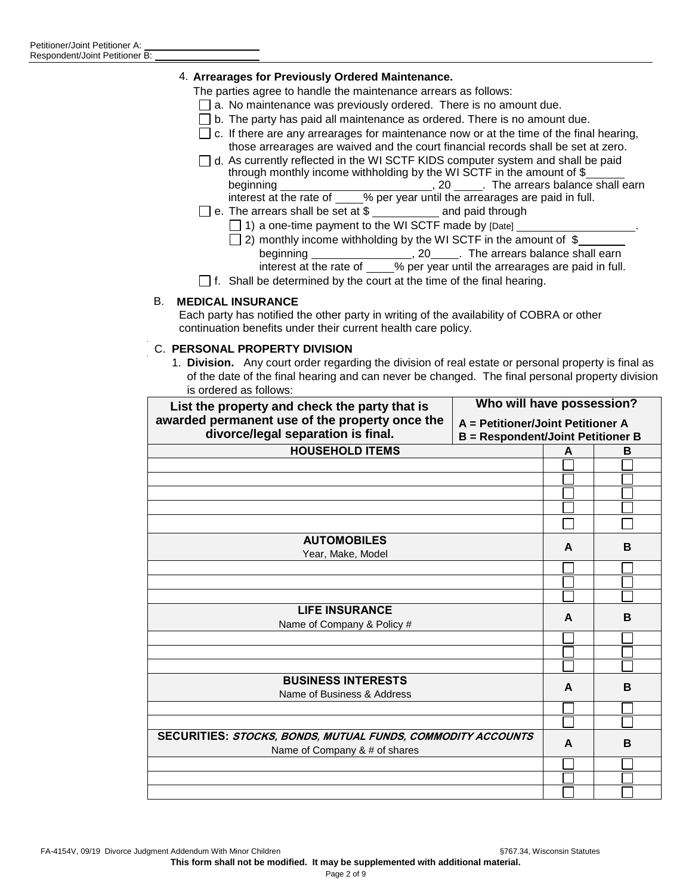#### 4. **Arrearages for Previously Ordered Maintenance.**

The parties agree to handle the maintenance arrears as follows:

- $\Box$  a. No maintenance was previously ordered. There is no amount due.
- $\Box$  b. The party has paid all maintenance as ordered. There is no amount due.
- $\Box$  c. If there are any arrearages for maintenance now or at the time of the final hearing, those arrearages are waived and the court financial records shall be set at zero.
- $\Box$  d. As currently reflected in the WI SCTF KIDS computer system and shall be paid through monthly income withholding by the WI SCTF in the amount of \$ beginning , 20 . The arrears balance shall earn interest at the rate of \_\_\_\_% per year until the arrearages are paid in full.
- $\Box$  e. The arrears shall be set at \$ \_\_\_\_\_\_\_\_\_\_\_\_ and paid through
	- $\Box$  1) a one-time payment to the WI SCTF made by  $\Box$
	- $\Box$  2) monthly income withholding by the WI SCTF in the amount of \$ beginning \_\_\_\_\_\_\_\_\_\_\_\_\_\_\_\_\_\_\_\_\_\_, 20\_\_\_\_\_\_. The arrears balance shall earn interest at the rate of \_\_\_\_% per year until the arrearages are paid in full.
- $\Box$  f. Shall be determined by the court at the time of the final hearing.

#### B. **MEDICAL INSURANCE**

Each party has notified the other party in writing of the availability of COBRA or other continuation benefits under their current health care policy.

#### C. **PERSONAL PROPERTY DIVISION**

1. **Division.** Any court order regarding the division of real estate or personal property is final as of the date of the final hearing and can never be changed. The final personal property division is ordered as follows:

| List the property and check the party that is                                        | Who will have possession?                                                     |   |   |  |
|--------------------------------------------------------------------------------------|-------------------------------------------------------------------------------|---|---|--|
| awarded permanent use of the property once the<br>divorce/legal separation is final. | A = Petitioner/Joint Petitioner A<br><b>B</b> = Respondent/Joint Petitioner B |   |   |  |
| <b>HOUSEHOLD ITEMS</b>                                                               |                                                                               | A | B |  |
|                                                                                      |                                                                               |   |   |  |
|                                                                                      |                                                                               |   |   |  |
|                                                                                      |                                                                               |   |   |  |
|                                                                                      |                                                                               |   |   |  |
|                                                                                      |                                                                               |   |   |  |
| <b>AUTOMOBILES</b>                                                                   |                                                                               | A | B |  |
| Year, Make, Model                                                                    |                                                                               |   |   |  |
|                                                                                      |                                                                               |   |   |  |
|                                                                                      |                                                                               |   |   |  |
|                                                                                      |                                                                               |   |   |  |
| <b>LIFE INSURANCE</b>                                                                |                                                                               | A | B |  |
| Name of Company & Policy #                                                           |                                                                               |   |   |  |
|                                                                                      |                                                                               |   |   |  |
|                                                                                      |                                                                               |   |   |  |
|                                                                                      |                                                                               |   |   |  |
| <b>BUSINESS INTERESTS</b><br>Name of Business & Address                              |                                                                               | A | B |  |
|                                                                                      |                                                                               |   |   |  |
|                                                                                      |                                                                               |   |   |  |
| <b>SECURITIES: STOCKS, BONDS, MUTUAL FUNDS, COMMODITY ACCOUNTS</b>                   |                                                                               |   |   |  |
| Name of Company & # of shares                                                        |                                                                               | A | B |  |
|                                                                                      |                                                                               |   |   |  |
|                                                                                      |                                                                               |   |   |  |
|                                                                                      |                                                                               |   |   |  |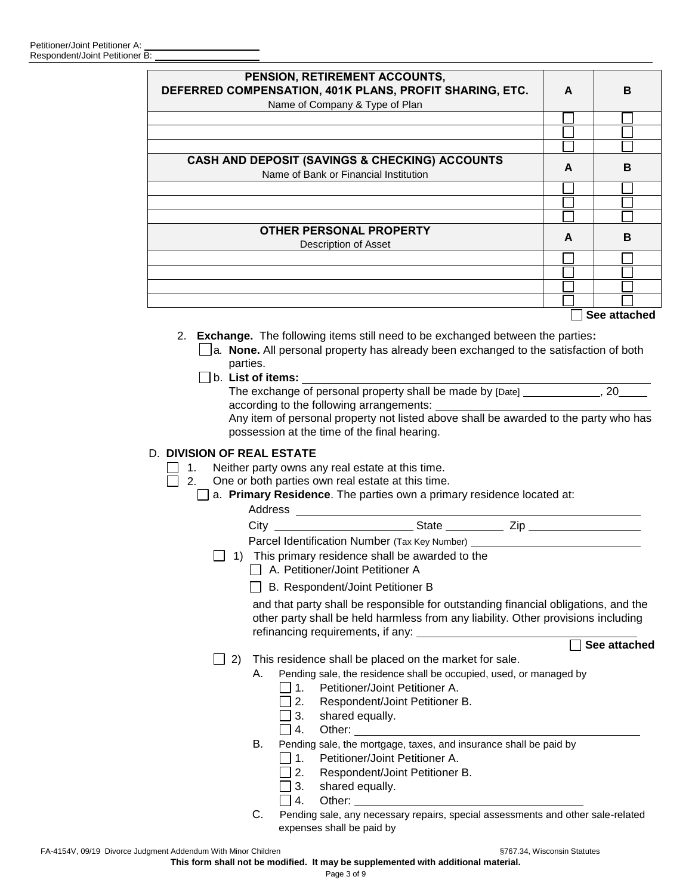| PENSION, RETIREMENT ACCOUNTS,<br>DEFERRED COMPENSATION, 401K PLANS, PROFIT SHARING, ETC.<br>Name of Company & Type of Plan | A | B            |
|----------------------------------------------------------------------------------------------------------------------------|---|--------------|
|                                                                                                                            |   |              |
|                                                                                                                            |   |              |
|                                                                                                                            |   |              |
| <b>CASH AND DEPOSIT (SAVINGS &amp; CHECKING) ACCOUNTS</b><br>Name of Bank or Financial Institution                         | A | B            |
|                                                                                                                            |   |              |
|                                                                                                                            |   |              |
|                                                                                                                            |   |              |
| OTHER PERSONAL PROPERTY<br>Description of Asset                                                                            | A | B            |
|                                                                                                                            |   |              |
|                                                                                                                            |   |              |
|                                                                                                                            |   |              |
|                                                                                                                            |   |              |
|                                                                                                                            |   | See attached |
| Final contracts. The full contract terms will repeat to be produced as the letter and the months of<br>$\sim$              |   |              |

- 2. **Exchange.** The following items still need to be exchanged between the parties**:** a*.* **None.** All personal property has already been exchanged to the satisfaction of both parties.
	- b. **List of items:**

The exchange of personal property shall be made by [Date] \_\_\_\_\_\_\_\_\_\_\_\_\_, 20 according to the following arrangements:

Any item of personal property not listed above shall be awarded to the party who has possession at the time of the final hearing.

# D. **DIVISION OF REAL ESTATE**

- 1. Neither party owns any real estate at this time.<br> $\Box$  2. One or both parties own real estate at this time
	- One or both parties own real estate at this time.

|    | Parcel Identification Number (Tax Key Number) __________________________________<br>1) This primary residence shall be awarded to the<br>A. Petitioner/Joint Petitioner A                                                                                     |
|----|---------------------------------------------------------------------------------------------------------------------------------------------------------------------------------------------------------------------------------------------------------------|
|    | B. Respondent/Joint Petitioner B                                                                                                                                                                                                                              |
|    | and that party shall be responsible for outstanding financial obligations, and the<br>other party shall be held harmless from any liability. Other provisions including<br>refinancing requirements, if any:                                                  |
|    | See attached                                                                                                                                                                                                                                                  |
| 2) | This residence shall be placed on the market for sale.                                                                                                                                                                                                        |
|    | Pending sale, the residence shall be occupied, used, or managed by<br>A.<br>Petitioner/Joint Petitioner A.<br>ヿ1.                                                                                                                                             |
|    | □ 2. Respondent/Joint Petitioner B.                                                                                                                                                                                                                           |
|    | 3. shared equally.<br>$\vert 4.$                                                                                                                                                                                                                              |
| В. | Pending sale, the mortgage, taxes, and insurance shall be paid by<br>Petitioner/Joint Petitioner A.<br>$\vert$ 1.<br>Respondent/Joint Petitioner B.<br>2.                                                                                                     |
|    | shared equally.<br>3.<br>Other: example and the state of the state of the state of the state of the state of the state of the state of the state of the state of the state of the state of the state of the state of the state of the state of the stat<br>4. |
| C. | Pending sale, any necessary repairs, special assessments and other sale-related<br>expenses shall be paid by                                                                                                                                                  |

FA-4154V, 09/19 Divorce Judgment Addendum With Minor Children **69. Community** S767.34, Wisconsin Statutes

**This form shall not be modified. It may be supplemented with additional material.**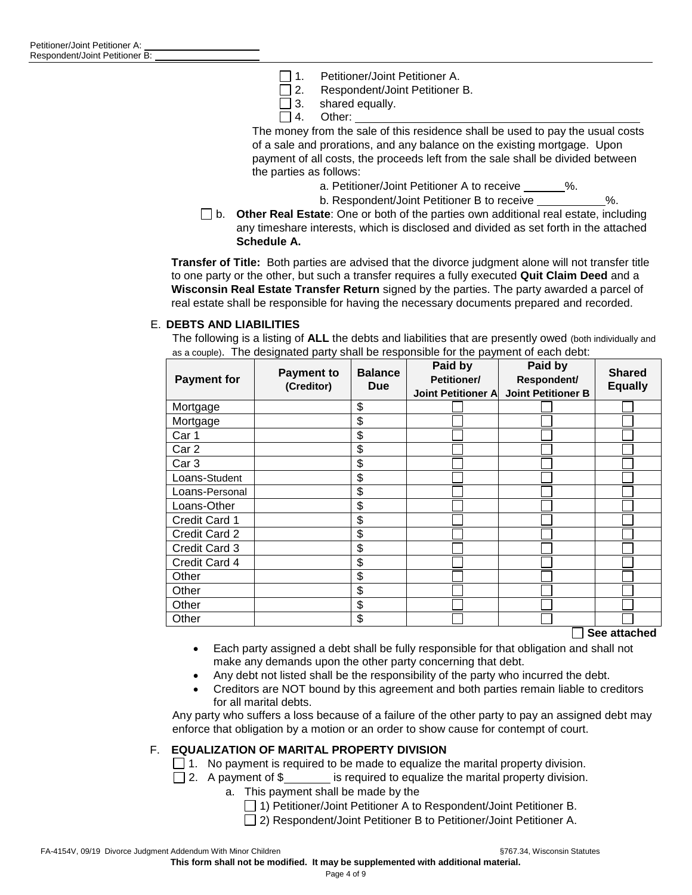- $\Box$  1. Petitioner/Joint Petitioner A.
- □ 2. Respondent/Joint Petitioner B.
- $\Box$  3. shared equally.
- $\Box$  4. Other:

The money from the sale of this residence shall be used to pay the usual costs of a sale and prorations, and any balance on the existing mortgage. Upon payment of all costs, the proceeds left from the sale shall be divided between the parties as follows:

- a. Petitioner/Joint Petitioner A to receive
- b. Respondent/Joint Petitioner B to receive  $\%$ .
- b. **Other Real Estate**: One or both of the parties own additional real estate, including any timeshare interests, which is disclosed and divided as set forth in the attached **Schedule A.**

**Transfer of Title:** Both parties are advised that the divorce judgment alone will not transfer title to one party or the other, but such a transfer requires a fully executed **Quit Claim Deed** and a **Wisconsin Real Estate Transfer Return** signed by the parties. The party awarded a parcel of real estate shall be responsible for having the necessary documents prepared and recorded.

#### E. **DEBTS AND LIABILITIES**

The following is a listing of **ALL** the debts and liabilities that are presently owed (both individually and as a couple). The designated party shall be responsible for the payment of each debt:

| <b>Payment for</b> | <b>Payment to</b><br>(Creditor) | <b>Balance</b><br><b>Due</b> | Paid by<br>Petitioner/<br><b>Joint Petitioner A</b> | Paid by<br>Respondent/<br><b>Joint Petitioner B</b> | <b>Shared</b><br><b>Equally</b> |
|--------------------|---------------------------------|------------------------------|-----------------------------------------------------|-----------------------------------------------------|---------------------------------|
| Mortgage           |                                 | \$                           |                                                     |                                                     |                                 |
| Mortgage           |                                 | \$                           |                                                     |                                                     |                                 |
| Car 1              |                                 | \$                           |                                                     |                                                     |                                 |
| Car <sub>2</sub>   |                                 | \$                           |                                                     |                                                     |                                 |
| Car <sub>3</sub>   |                                 | \$                           |                                                     |                                                     |                                 |
| Loans-Student      |                                 | \$                           |                                                     |                                                     |                                 |
| Loans-Personal     |                                 | \$                           |                                                     |                                                     |                                 |
| Loans-Other        |                                 | \$                           |                                                     |                                                     |                                 |
| Credit Card 1      |                                 | \$                           |                                                     |                                                     |                                 |
| Credit Card 2      |                                 | \$                           |                                                     |                                                     |                                 |
| Credit Card 3      |                                 | \$                           |                                                     |                                                     |                                 |
| Credit Card 4      |                                 | \$                           |                                                     |                                                     |                                 |
| Other              |                                 | \$                           |                                                     |                                                     |                                 |
| Other              |                                 | \$                           |                                                     |                                                     |                                 |
| Other              |                                 | \$                           |                                                     |                                                     |                                 |
| Other              |                                 | \$                           |                                                     | —                                                   |                                 |

**See attached**

- Each party assigned a debt shall be fully responsible for that obligation and shall not make any demands upon the other party concerning that debt.
- Any debt not listed shall be the responsibility of the party who incurred the debt.
- Creditors are NOT bound by this agreement and both parties remain liable to creditors for all marital debts.

Any party who suffers a loss because of a failure of the other party to pay an assigned debt may enforce that obligation by a motion or an order to show cause for contempt of court.

## F. **EQUALIZATION OF MARITAL PROPERTY DIVISION**

- $\Box$  1. No payment is required to be made to equalize the marital property division.
- $\Box$  2. A payment of \$\_\_\_\_\_\_\_ is required to equalize the marital property division.
	- a. This payment shall be made by the
		- □ 1) Petitioner/Joint Petitioner A to Respondent/Joint Petitioner B.
		- □ 2) Respondent/Joint Petitioner B to Petitioner/Joint Petitioner A.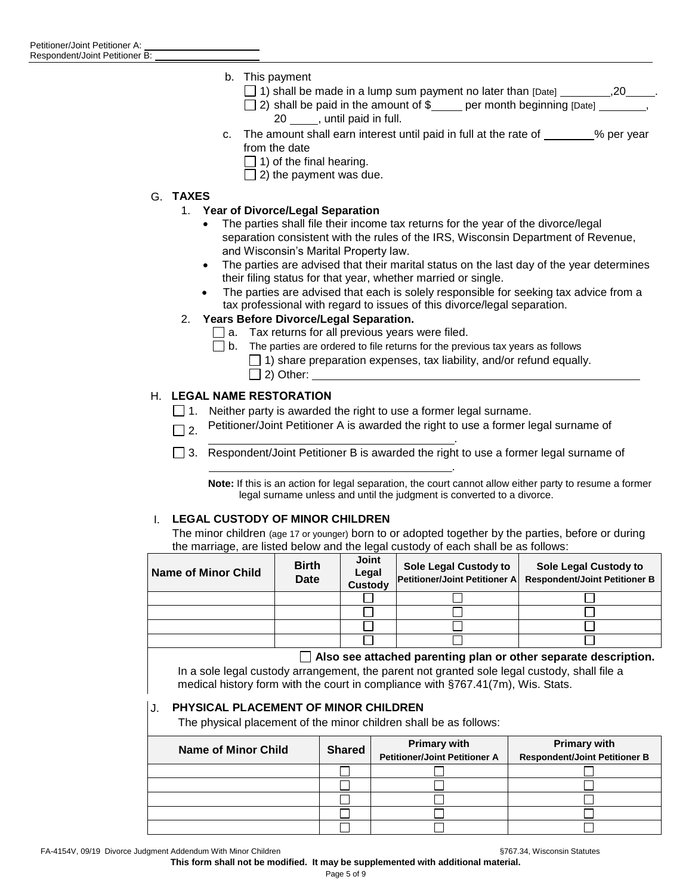- b. This payment
	- $\Box$  1) shall be made in a lump sum payment no later than [Date]  $\Box$
	- $\Box$  2) shall be paid in the amount of \$\_\_\_\_ per month beginning [Date]  $\Box$ 20 , until paid in full.
- c. The amount shall earn interest until paid in full at the rate of  $\_\_\_\_\_\$  % per year from the date
	- $\Box$  1) of the final hearing.
	- $\Box$  2) the payment was due.

## G. **TAXES**

## 1. **Year of Divorce/Legal Separation**

- The parties shall file their income tax returns for the year of the divorce/legal separation consistent with the rules of the IRS, Wisconsin Department of Revenue, and Wisconsin's Marital Property law.
- The parties are advised that their marital status on the last day of the year determines their filing status for that year, whether married or single.
- The parties are advised that each is solely responsible for seeking tax advice from a tax professional with regard to issues of this divorce/legal separation.

## 2. **Years Before Divorce/Legal Separation.**

- $\Box$  a. Tax returns for all previous years were filed.
- $\Box$  b. The parties are ordered to file returns for the previous tax years as follows  $\Box$  1) share preparation expenses, tax liability, and/or refund equally.  $\Box$  2) Other:

## H. **LEGAL NAME RESTORATION**

- $\Box$  1. Neither party is awarded the right to use a former legal surname.
- $\Box$  2. Petitioner/Joint Petitioner A is awarded the right to use a former legal surname of
- .  $\Box$  3. Respondent/Joint Petitioner B is awarded the right to use a former legal surname of

**Note:** If this is an action for legal separation, the court cannot allow either party to resume a former legal surname unless and until the judgment is converted to a divorce.

.

## I. **LEGAL CUSTODY OF MINOR CHILDREN**

The minor children (age 17 or younger) born to or adopted together by the parties, before or during the marriage, are listed below and the legal custody of each shall be as follows:

| <b>Name of Minor Child</b> | <b>Birth</b><br><b>Date</b> | <b>Joint</b><br>Legal<br>Custody | Sole Legal Custody to | Sole Legal Custody to<br>Petitioner/Joint Petitioner A Respondent/Joint Petitioner B |
|----------------------------|-----------------------------|----------------------------------|-----------------------|--------------------------------------------------------------------------------------|
|                            |                             |                                  |                       |                                                                                      |
|                            |                             |                                  |                       |                                                                                      |
|                            |                             |                                  |                       |                                                                                      |
|                            |                             |                                  |                       |                                                                                      |
|                            | .                           |                                  | ____                  |                                                                                      |

## **Also see attached parenting plan or other separate description.**

In a sole legal custody arrangement, the parent not granted sole legal custody, shall file a medical history form with the court in compliance with §767.41(7m), Wis. Stats.

## J. **PHYSICAL PLACEMENT OF MINOR CHILDREN**

The physical placement of the minor children shall be as follows:

| <b>Name of Minor Child</b> | <b>Shared</b> | <b>Primary with</b>                  | <b>Primary with</b>                  |
|----------------------------|---------------|--------------------------------------|--------------------------------------|
|                            |               | <b>Petitioner/Joint Petitioner A</b> | <b>Respondent/Joint Petitioner B</b> |
|                            |               |                                      |                                      |
|                            |               |                                      |                                      |
|                            |               |                                      |                                      |
|                            |               |                                      |                                      |
|                            |               |                                      |                                      |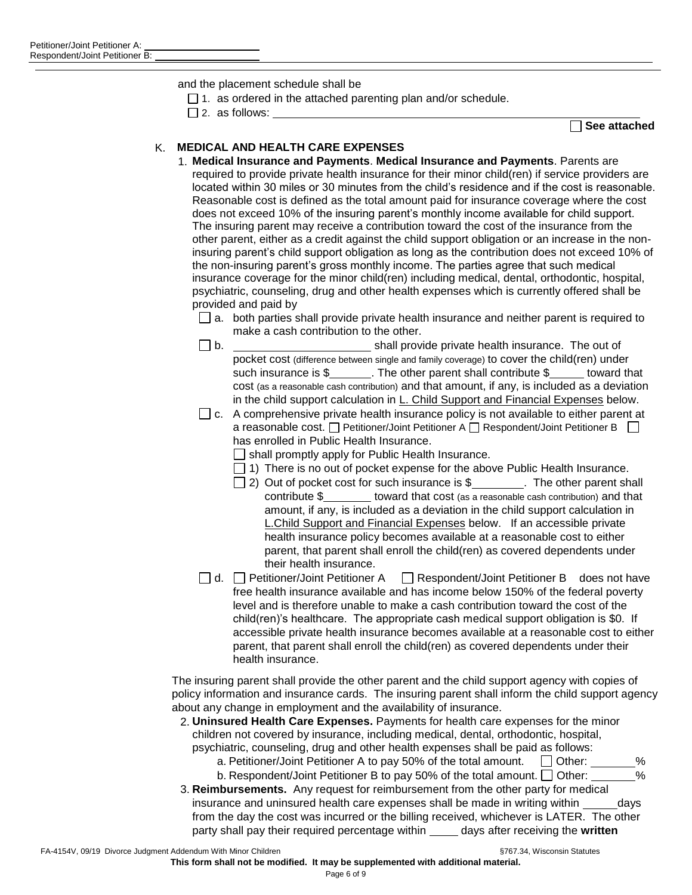and the placement schedule shall be

- $\Box$  1. as ordered in the attached parenting plan and/or schedule.
- $\square$  2. as follows:

**See attached**

# K. **MEDICAL AND HEALTH CARE EXPENSES**

1. **Medical Insurance and Payments**. **Medical Insurance and Payments**. Parents are required to provide private health insurance for their minor child(ren) if service providers are located within 30 miles or 30 minutes from the child's residence and if the cost is reasonable. Reasonable cost is defined as the total amount paid for insurance coverage where the cost does not exceed 10% of the insuring parent's monthly income available for child support. The insuring parent may receive a contribution toward the cost of the insurance from the other parent, either as a credit against the child support obligation or an increase in the noninsuring parent's child support obligation as long as the contribution does not exceed 10% of the non-insuring parent's gross monthly income. The parties agree that such medical insurance coverage for the minor child(ren) including medical, dental, orthodontic, hospital, psychiatric, counseling, drug and other health expenses which is currently offered shall be provided and paid by

 $\Box$  a. both parties shall provide private health insurance and neither parent is required to make a cash contribution to the other.

- $\Box$  b.  $\Box$  shall provide private health insurance. The out of pocket cost (difference between single and family coverage) to cover the child(ren) under such insurance is \$ The other parent shall contribute \$ toward that cost (as a reasonable cash contribution) and that amount, if any, is included as a deviation in the child support calculation in L. Child Support and Financial Expenses below.
- $\Box$  c. A comprehensive private health insurance policy is not available to either parent at a reasonable cost.  $\Box$  Petitioner/Joint Petitioner A  $\Box$  Respondent/Joint Petitioner B  $\Box$ has enrolled in Public Health Insurance.
	- $\Box$  shall promptly apply for Public Health Insurance.
	- $\Box$  1) There is no out of pocket expense for the above Public Health Insurance.
	- $\Box$  2) Out of pocket cost for such insurance is \$ . The other parent shall contribute  $\frac{1}{2}$  toward that cost (as a reasonable cash contribution) and that amount, if any, is included as a deviation in the child support calculation in L.Child Support and Financial Expenses below. If an accessible private health insurance policy becomes available at a reasonable cost to either parent, that parent shall enroll the child(ren) as covered dependents under their health insurance.
- $\Box$  d.  $\Box$  Petitioner/Joint Petitioner A  $\Box$  Respondent/Joint Petitioner B does not have free health insurance available and has income below 150% of the federal poverty level and is therefore unable to make a cash contribution toward the cost of the child(ren)'s healthcare. The appropriate cash medical support obligation is \$0. If accessible private health insurance becomes available at a reasonable cost to either parent, that parent shall enroll the child(ren) as covered dependents under their health insurance.

The insuring parent shall provide the other parent and the child support agency with copies of policy information and insurance cards. The insuring parent shall inform the child support agency about any change in employment and the availability of insurance.

- 2. **Uninsured Health Care Expenses.** Payments for health care expenses for the minor children not covered by insurance, including medical, dental, orthodontic, hospital, psychiatric, counseling, drug and other health expenses shall be paid as follows:
	- a. Petitioner/Joint Petitioner A to pay 50% of the total amount.  $\Box$  Other: \_\_\_\_\_\_\_%
	- b. Respondent/Joint Petitioner B to pay 50% of the total amount.  $\Box$  Other:  $\Box$  %
- 3. **Reimbursements.** Any request for reimbursement from the other party for medical insurance and uninsured health care expenses shall be made in writing within days from the day the cost was incurred or the billing received, whichever is LATER. The other party shall pay their required percentage within **comparise and reports** the **written**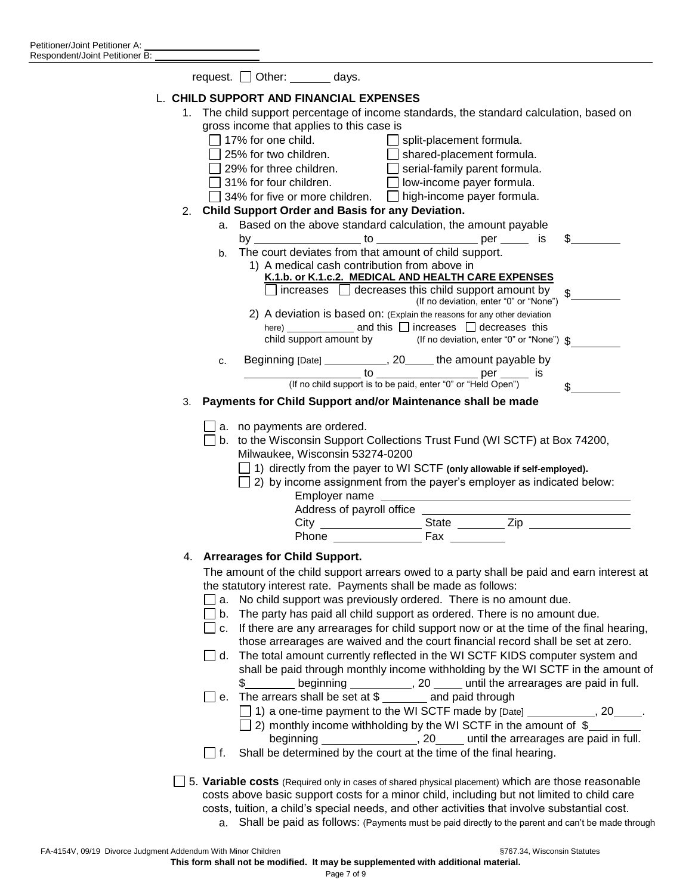|    | request. $\Box$ Other: ________ days.                                                                                                                         |
|----|---------------------------------------------------------------------------------------------------------------------------------------------------------------|
|    | L. CHILD SUPPORT AND FINANCIAL EXPENSES                                                                                                                       |
| 1. | The child support percentage of income standards, the standard calculation, based on                                                                          |
|    | gross income that applies to this case is                                                                                                                     |
|    | □ 17% for one child.<br>□ 25% for two children. □ shared-placement formula.                                                                                   |
|    |                                                                                                                                                               |
|    | 29% for three children. $\Box$ serial-family parent formula.                                                                                                  |
|    | 31% for four children.<br><b>D</b> low-income payer formula.<br>$\Box$                                                                                        |
|    | $\Box$ 34% for five or more children. $\Box$ high-income payer formula.<br>2. Child Support Order and Basis for any Deviation.                                |
|    | a. Based on the above standard calculation, the amount payable                                                                                                |
|    | S                                                                                                                                                             |
|    | b. The court deviates from that amount of child support.                                                                                                      |
|    | 1) A medical cash contribution from above in                                                                                                                  |
|    | K.1.b. or K.1.c.2. MEDICAL AND HEALTH CARE EXPENSES                                                                                                           |
|    | $\Box$ increases $\Box$ decreases this child support amount by<br>$\frac{1}{2}$<br>(If no deviation, enter "0" or "None")                                     |
|    | 2) A deviation is based on: (Explain the reasons for any other deviation                                                                                      |
|    | child support amount by (If no deviation, enter "0" or "None") \$                                                                                             |
|    |                                                                                                                                                               |
|    | Beginning [Date] ____________, 20_____ the amount payable by<br>c.                                                                                            |
|    |                                                                                                                                                               |
| 3. | $\mathbb{S}$<br>Payments for Child Support and/or Maintenance shall be made                                                                                   |
|    |                                                                                                                                                               |
|    | $\Box$ a. no payments are ordered.                                                                                                                            |
|    | □ b. to the Wisconsin Support Collections Trust Fund (WI SCTF) at Box 74200,                                                                                  |
|    | Milwaukee, Wisconsin 53274-0200                                                                                                                               |
|    | $\Box$ 1) directly from the payer to WI SCTF (only allowable if self-employed).                                                                               |
|    | $\Box$ 2) by income assignment from the payer's employer as indicated below:                                                                                  |
|    | Employer name                                                                                                                                                 |
|    |                                                                                                                                                               |
|    | Phone Fax                                                                                                                                                     |
|    | 4. Arrearages for Child Support.                                                                                                                              |
|    |                                                                                                                                                               |
|    | The amount of the child support arrears owed to a party shall be paid and earn interest at<br>the statutory interest rate. Payments shall be made as follows: |
|    | No child support was previously ordered. There is no amount due.<br>∐ a.                                                                                      |
|    | The party has paid all child support as ordered. There is no amount due.<br>$\Box$ b.                                                                         |
|    | $\Box$ c. If there are any arrearages for child support now or at the time of the final hearing,                                                              |
|    | those arrearages are waived and the court financial record shall be set at zero.                                                                              |
|    | The total amount currently reflected in the WI SCTF KIDS computer system and<br>∣ I d.                                                                        |
|    | shall be paid through monthly income withholding by the WI SCTF in the amount of                                                                              |
|    | \$_________ beginning ____________, 20 _____ until the arrearages are paid in full.                                                                           |
|    | □ e. The arrears shall be set at \$ ______ and paid through                                                                                                   |
|    | $\Box$ 1) a one-time payment to the WI SCTF made by $[Date]$ ___________, 20_____.                                                                            |
|    | $\Box$ 2) monthly income withholding by the WI SCTF in the amount of $\$<br>beginning __________________, 20_____ until the arrearages are paid in full.      |
|    | Shall be determined by the court at the time of the final hearing.<br>l I f.                                                                                  |
|    |                                                                                                                                                               |
|    | 5. Variable costs (Required only in cases of shared physical placement) which are those reasonable                                                            |
|    | costs above basic support costs for a minor child, including but not limited to child care                                                                    |
|    | costs, tuition, a child's special needs, and other activities that involve substantial cost.                                                                  |
|    | a. Shall be paid as follows: (Payments must be paid directly to the parent and can't be made through                                                          |
|    |                                                                                                                                                               |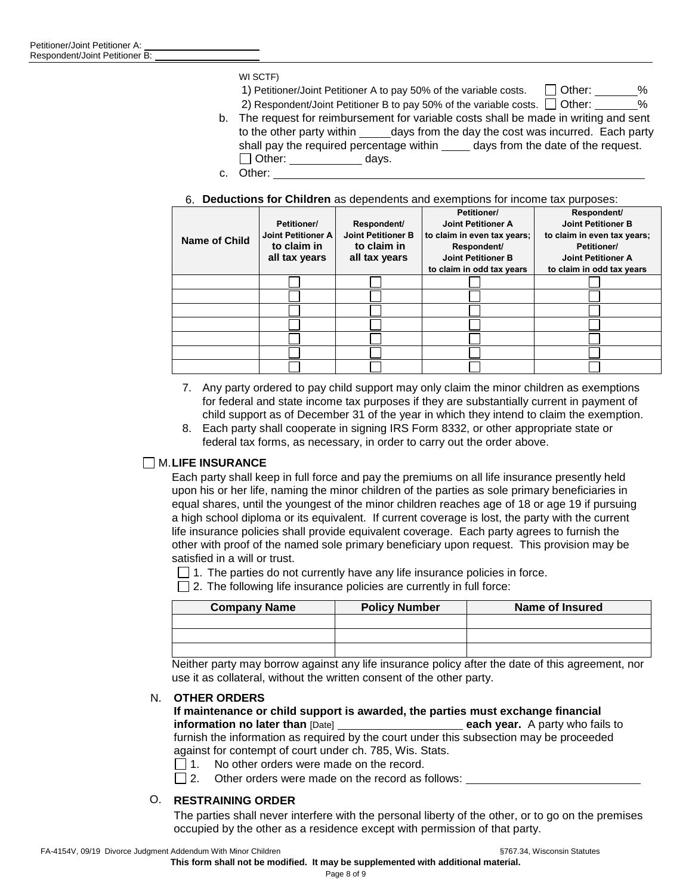WI SCTF)

1) Petitioner/Joint Petitioner A to pay 50% of the variable costs.  $\Box$  Other: %

2) Respondent/Joint Petitioner B to pay 50% of the variable costs.  $\Box$  Other: %

- b. The request for reimbursement for variable costs shall be made in writing and sent to the other party within days from the day the cost was incurred. Each party shall pay the required percentage within days from the date of the request. Other: days.
- c. Other:

#### 6. **Deductions for Children** as dependents and exemptions for income tax purposes:

|                      |                           |                           | Petitioner/                 | Respondent/                 |
|----------------------|---------------------------|---------------------------|-----------------------------|-----------------------------|
|                      | Petitioner/               | Respondent/               | <b>Joint Petitioner A</b>   | <b>Joint Petitioner B</b>   |
| <b>Name of Child</b> | <b>Joint Petitioner A</b> | <b>Joint Petitioner B</b> | to claim in even tax years; | to claim in even tax years; |
|                      | to claim in               | to claim in               | Respondent/                 | Petitioner/                 |
|                      | all tax years             | all tax years             | <b>Joint Petitioner B</b>   | <b>Joint Petitioner A</b>   |
|                      |                           |                           | to claim in odd tax years   | to claim in odd tax years   |
|                      |                           |                           |                             |                             |
|                      |                           |                           |                             |                             |
|                      |                           |                           |                             |                             |
|                      |                           |                           |                             |                             |
|                      |                           |                           |                             |                             |
|                      |                           |                           |                             |                             |
|                      |                           |                           |                             |                             |

- 7. Any party ordered to pay child support may only claim the minor children as exemptions for federal and state income tax purposes if they are substantially current in payment of child support as of December 31 of the year in which they intend to claim the exemption.
- 8. Each party shall cooperate in signing IRS Form 8332, or other appropriate state or federal tax forms, as necessary, in order to carry out the order above.

## M.**LIFE INSURANCE**

Each party shall keep in full force and pay the premiums on all life insurance presently held upon his or her life, naming the minor children of the parties as sole primary beneficiaries in equal shares, until the youngest of the minor children reaches age of 18 or age 19 if pursuing a high school diploma or its equivalent. If current coverage is lost, the party with the current life insurance policies shall provide equivalent coverage. Each party agrees to furnish the other with proof of the named sole primary beneficiary upon request. This provision may be satisfied in a will or trust.

 $\Box$  1. The parties do not currently have any life insurance policies in force.

 $\Box$  2. The following life insurance policies are currently in full force:

| <b>Company Name</b> | <b>Policy Number</b> | <b>Name of Insured</b> |
|---------------------|----------------------|------------------------|
|                     |                      |                        |
|                     |                      |                        |
|                     |                      |                        |

Neither party may borrow against any life insurance policy after the date of this agreement, nor use it as collateral, without the written consent of the other party.

#### N. **OTHER ORDERS**

#### **If maintenance or child support is awarded, the parties must exchange financial information no later than** [Date] **each year.** A party who fails to furnish the information as required by the court under this subsection may be proceeded against for contempt of court under ch. 785, Wis. Stats.

- $\Box$  1. No other orders were made on the record.
- $\Box$  2. Other orders were made on the record as follows:

## O. **RESTRAINING ORDER**

The parties shall never interfere with the personal liberty of the other, or to go on the premises occupied by the other as a residence except with permission of that party.